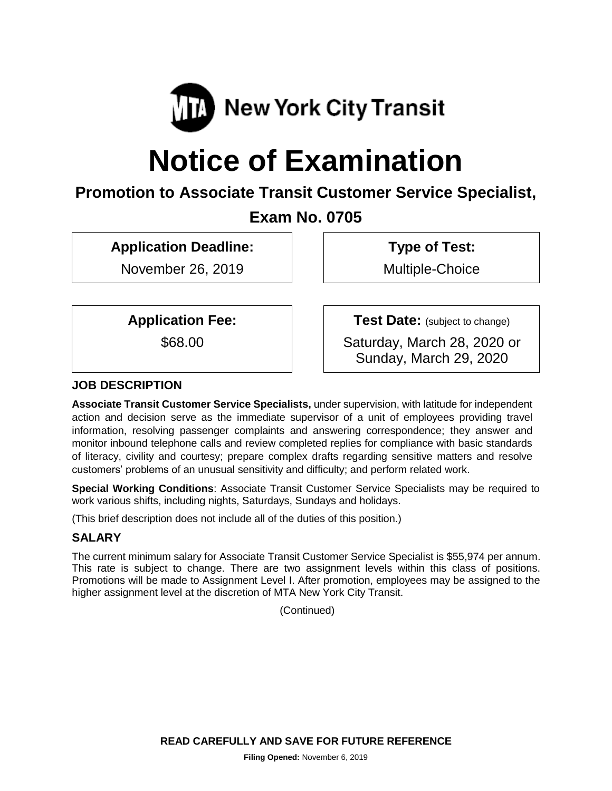

# **Notice of Examination**

# **Promotion to Associate Transit Customer Service Specialist,**

# **Exam No. 0705**

**Application Deadline:**

November 26, 2019

**Type of Test:** 

Multiple-Choice

**Application Fee:**

\$68.00

**Test Date:** (subject to change)

Saturday, March 28, 2020 or Sunday, March 29, 2020

# **JOB DESCRIPTION**

**Associate Transit Customer Service Specialists,** under supervision, with latitude for independent action and decision serve as the immediate supervisor of a unit of employees providing travel information, resolving passenger complaints and answering correspondence; they answer and monitor inbound telephone calls and review completed replies for compliance with basic standards of literacy, civility and courtesy; prepare complex drafts regarding sensitive matters and resolve customers' problems of an unusual sensitivity and difficulty; and perform related work.

**Special Working Conditions**: Associate Transit Customer Service Specialists may be required to work various shifts, including nights, Saturdays, Sundays and holidays.

(This brief description does not include all of the duties of this position.)

# **SALARY**

The current minimum salary for Associate Transit Customer Service Specialist is \$55,974 per annum. This rate is subject to change. There are two assignment levels within this class of positions. Promotions will be made to Assignment Level I. After promotion, employees may be assigned to the higher assignment level at the discretion of MTA New York City Transit.

(Continued)

**READ CAREFULLY AND SAVE FOR FUTURE REFERENCE**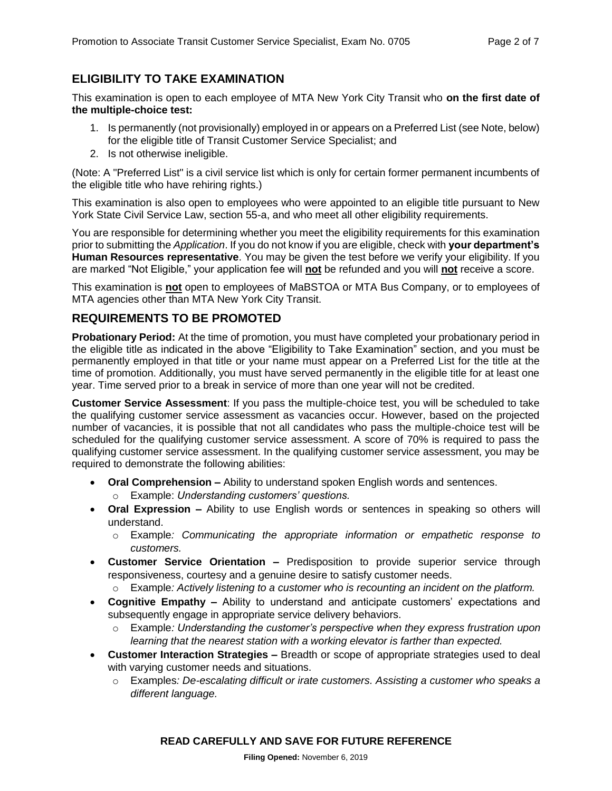#### **ELIGIBILITY TO TAKE EXAMINATION**

This examination is open to each employee of MTA New York City Transit who **on the first date of the multiple-choice test:**

- 1. Is permanently (not provisionally) employed in or appears on a Preferred List (see Note, below) for the eligible title of Transit Customer Service Specialist; and
- 2. Is not otherwise ineligible.

(Note: A "Preferred List" is a civil service list which is only for certain former permanent incumbents of the eligible title who have rehiring rights.)

This examination is also open to employees who were appointed to an eligible title pursuant to New York State Civil Service Law, section 55-a, and who meet all other eligibility requirements.

You are responsible for determining whether you meet the eligibility requirements for this examination prior to submitting the *Application*. If you do not know if you are eligible, check with **your department's Human Resources representative**. You may be given the test before we verify your eligibility. If you are marked "Not Eligible," your application fee will **not** be refunded and you will **not** receive a score.

This examination is **not** open to employees of MaBSTOA or MTA Bus Company, or to employees of MTA agencies other than MTA New York City Transit.

#### **REQUIREMENTS TO BE PROMOTED**

**Probationary Period:** At the time of promotion, you must have completed your probationary period in the eligible title as indicated in the above "Eligibility to Take Examination" section, and you must be permanently employed in that title or your name must appear on a Preferred List for the title at the time of promotion. Additionally, you must have served permanently in the eligible title for at least one year. Time served prior to a break in service of more than one year will not be credited.

**Customer Service Assessment**: If you pass the multiple-choice test, you will be scheduled to take the qualifying customer service assessment as vacancies occur. However, based on the projected number of vacancies, it is possible that not all candidates who pass the multiple-choice test will be scheduled for the qualifying customer service assessment. A score of 70% is required to pass the qualifying customer service assessment. In the qualifying customer service assessment, you may be required to demonstrate the following abilities:

- **Oral Comprehension –** Ability to understand spoken English words and sentences.
	- o Example: *Understanding customers' questions.*
- **Oral Expression –** Ability to use English words or sentences in speaking so others will understand.
	- o Example*: Communicating the appropriate information or empathetic response to customers.*
- **Customer Service Orientation –** Predisposition to provide superior service through responsiveness, courtesy and a genuine desire to satisfy customer needs.
	- o Example*: Actively listening to a customer who is recounting an incident on the platform.*
- **Cognitive Empathy –** Ability to understand and anticipate customers' expectations and subsequently engage in appropriate service delivery behaviors.
	- o Example*: Understanding the customer's perspective when they express frustration upon learning that the nearest station with a working elevator is farther than expected.*
- **Customer Interaction Strategies –** Breadth or scope of appropriate strategies used to deal with varying customer needs and situations.
	- o Examples*: De-escalating difficult or irate customers. Assisting a customer who speaks a different language.*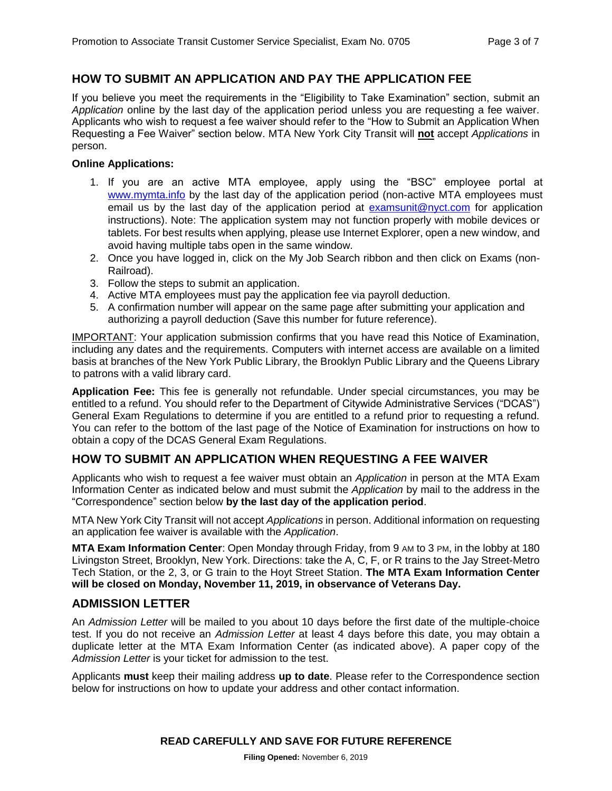#### **HOW TO SUBMIT AN APPLICATION AND PAY THE APPLICATION FEE**

If you believe you meet the requirements in the "Eligibility to Take Examination" section, submit an *Application* online by the last day of the application period unless you are requesting a fee waiver. Applicants who wish to request a fee waiver should refer to the "How to Submit an Application When Requesting a Fee Waiver" section below. MTA New York City Transit will **not** accept *Applications* in person.

#### **Online Applications:**

- 1. If you are an active MTA employee, apply using the "BSC" employee portal at [www.mymta.info by the](http://www.mymta.info/exams) last day of the application period (non-active MTA employees must email us by the last day of the application period at [examsunit@nyct.com](mailto:examsunit@nyct.com) for application instructions). Note: The application system may not function properly with mobile devices or tablets. For best results when applying, please use Internet Explorer, open a new window, and avoid having multiple tabs open in the same window.
- 2. Once you have logged in, click on the My Job Search ribbon and then click on Exams (non-Railroad).
- 3. Follow the steps to submit an application.
- 4. Active MTA employees must pay the application fee via payroll deduction.
- 5. A confirmation number will appear on the same page after submitting your application and authorizing a payroll deduction (Save this number for future reference).

IMPORTANT: Your application submission confirms that you have read this Notice of Examination, including any dates and the requirements. Computers with internet access are available on a limited basis at branches of the New York Public Library, the Brooklyn Public Library and the Queens Library to patrons with a valid library card.

**Application Fee:** This fee is generally not refundable. Under special circumstances, you may be entitled to a refund. You should refer to the Department of Citywide Administrative Services ("DCAS") General Exam Regulations to determine if you are entitled to a refund prior to requesting a refund. You can refer to the bottom of the last page of the Notice of Examination for instructions on how to obtain a copy of the DCAS General Exam Regulations.

#### **HOW TO SUBMIT AN APPLICATION WHEN REQUESTING A FEE WAIVER**

Applicants who wish to request a fee waiver must obtain an *Application* in person at the MTA Exam Information Center as indicated below and must submit the *Application* by mail to the address in the "Correspondence" section below **by the last day of the application period**.

MTA New York City Transit will not accept *Applications* in person. Additional information on requesting an application fee waiver is available with the *Application*.

**MTA Exam Information Center**: Open Monday through Friday, from 9 AM to 3 PM, in the lobby at 180 Livingston Street, Brooklyn, New York. Directions: take the A, C, F, or R trains to the Jay Street-Metro Tech Station, or the 2, 3, or G train to the Hoyt Street Station. **The MTA Exam Information Center will be closed on Monday, November 11, 2019, in observance of Veterans Day.**

#### **ADMISSION LETTER**

An *Admission Letter* will be mailed to you about 10 days before the first date of the multiple-choice test. If you do not receive an *Admission Letter* at least 4 days before this date, you may obtain a duplicate letter at the MTA Exam Information Center (as indicated above). A paper copy of the *Admission Letter* is your ticket for admission to the test.

Applicants **must** keep their mailing address **up to date**. Please refer to the Correspondence section below for instructions on how to update your address and other contact information.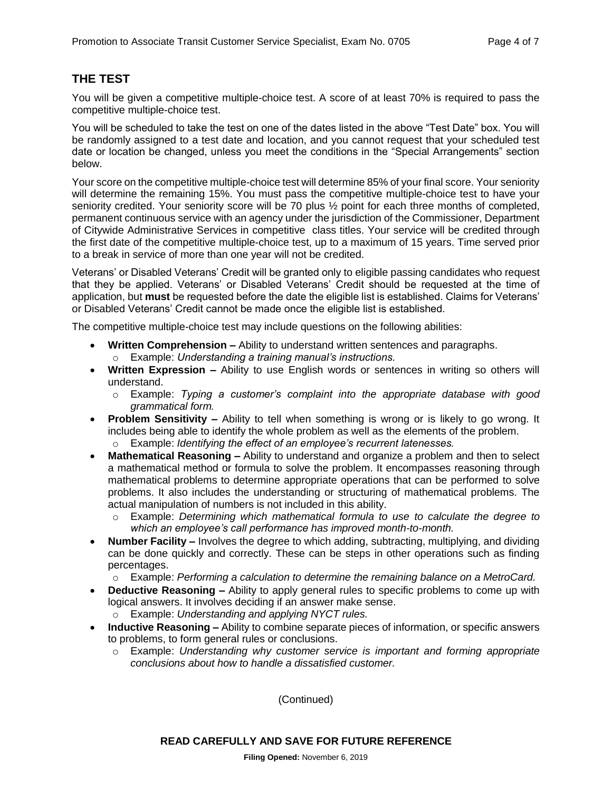#### **THE TEST**

You will be given a competitive multiple-choice test. A score of at least 70% is required to pass the competitive multiple-choice test.

You will be scheduled to take the test on one of the dates listed in the above "Test Date" box. You will be randomly assigned to a test date and location, and you cannot request that your scheduled test date or location be changed, unless you meet the conditions in the "Special Arrangements" section below.

Your score on the competitive multiple-choice test will determine 85% of your final score. Your seniority will determine the remaining 15%. You must pass the competitive multiple-choice test to have your seniority credited. Your seniority score will be 70 plus ½ point for each three months of completed, permanent continuous service with an agency under the jurisdiction of the Commissioner, Department of Citywide Administrative Services in competitive class titles. Your service will be credited through the first date of the competitive multiple-choice test, up to a maximum of 15 years. Time served prior to a break in service of more than one year will not be credited.

Veterans' or Disabled Veterans' Credit will be granted only to eligible passing candidates who request that they be applied. Veterans' or Disabled Veterans' Credit should be requested at the time of application, but **must** be requested before the date the eligible list is established. Claims for Veterans' or Disabled Veterans' Credit cannot be made once the eligible list is established.

The competitive multiple-choice test may include questions on the following abilities:

- **Written Comprehension –** Ability to understand written sentences and paragraphs. o Example: *Understanding a training manual's instructions.*
- **Written Expression –** Ability to use English words or sentences in writing so others will understand.
	- o Example: *Typing a customer's complaint into the appropriate database with good grammatical form.*
- **Problem Sensitivity –** Ability to tell when something is wrong or is likely to go wrong. It includes being able to identify the whole problem as well as the elements of the problem. o Example: *Identifying the effect of an employee's recurrent latenesses.*
- **Mathematical Reasoning –** Ability to understand and organize a problem and then to select a mathematical method or formula to solve the problem. It encompasses reasoning through mathematical problems to determine appropriate operations that can be performed to solve problems. It also includes the understanding or structuring of mathematical problems. The actual manipulation of numbers is not included in this ability.
	- o Example: *Determining which mathematical formula to use to calculate the degree to which an employee's call performance has improved month-to-month.*
- **Number Facility –** Involves the degree to which adding, subtracting, multiplying, and dividing can be done quickly and correctly. These can be steps in other operations such as finding percentages.
	- o Example: *Performing a calculation to determine the remaining balance on a MetroCard.*
- **Deductive Reasoning –** Ability to apply general rules to specific problems to come up with logical answers. It involves deciding if an answer make sense.
	- o Example: *Understanding and applying NYCT rules.*
- **Inductive Reasoning –** Ability to combine separate pieces of information, or specific answers to problems, to form general rules or conclusions.
	- o Example: *Understanding why customer service is important and forming appropriate conclusions about how to handle a dissatisfied customer.*

(Continued)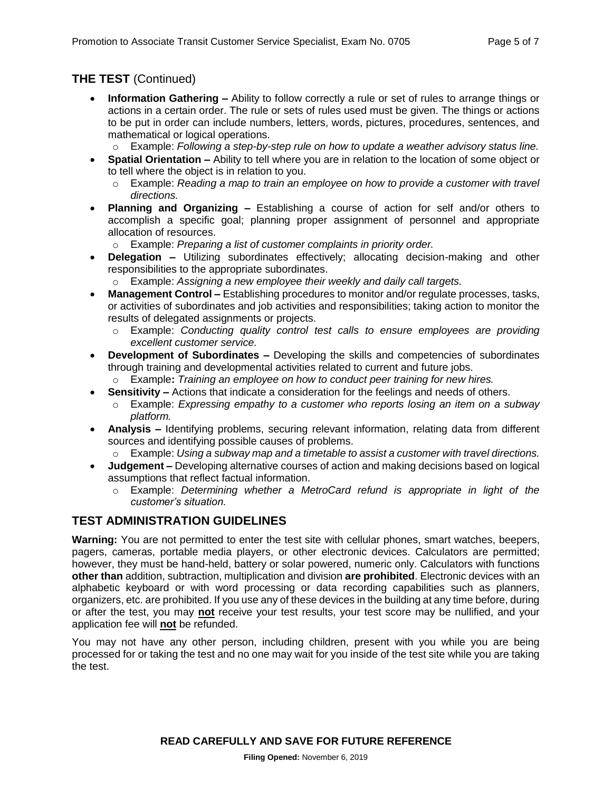# **THE TEST** (Continued)

- **Information Gathering –** Ability to follow correctly a rule or set of rules to arrange things or actions in a certain order. The rule or sets of rules used must be given. The things or actions to be put in order can include numbers, letters, words, pictures, procedures, sentences, and mathematical or logical operations.
	- o Example: *Following a step-by-step rule on how to update a weather advisory status line.*
- **Spatial Orientation –** Ability to tell where you are in relation to the location of some object or to tell where the object is in relation to you.
	- o Example: *Reading a map to train an employee on how to provide a customer with travel directions.*
- **Planning and Organizing –** Establishing a course of action for self and/or others to accomplish a specific goal; planning proper assignment of personnel and appropriate allocation of resources.
	- o Example: *Preparing a list of customer complaints in priority order.*
- **Delegation –** Utilizing subordinates effectively; allocating decision-making and other responsibilities to the appropriate subordinates.
	- o Example: *Assigning a new employee their weekly and daily call targets.*
- **Management Control –** Establishing procedures to monitor and/or regulate processes, tasks, or activities of subordinates and job activities and responsibilities; taking action to monitor the results of delegated assignments or projects.
	- o Example: *Conducting quality control test calls to ensure employees are providing excellent customer service.*
- **Development of Subordinates –** Developing the skills and competencies of subordinates through training and developmental activities related to current and future jobs.
	- o Example**:** *Training an employee on how to conduct peer training for new hires.*
- **Sensitivity –** Actions that indicate a consideration for the feelings and needs of others.
	- o Example: *Expressing empathy to a customer who reports losing an item on a subway platform.*
- **Analysis –** Identifying problems, securing relevant information, relating data from different sources and identifying possible causes of problems.
	- o Example: *Using a subway map and a timetable to assist a customer with travel directions.*
- **Judgement –** Developing alternative courses of action and making decisions based on logical assumptions that reflect factual information.
	- o Example: *Determining whether a MetroCard refund is appropriate in light of the customer's situation.*

#### **TEST ADMINISTRATION GUIDELINES**

**Warning:** You are not permitted to enter the test site with cellular phones, smart watches, beepers, pagers, cameras, portable media players, or other electronic devices. Calculators are permitted; however, they must be hand-held, battery or solar powered, numeric only. Calculators with functions **other than** addition, subtraction, multiplication and division **are prohibited**. Electronic devices with an alphabetic keyboard or with word processing or data recording capabilities such as planners, organizers, etc. are prohibited. If you use any of these devices in the building at any time before, during or after the test, you may **not** receive your test results, your test score may be nullified, and your application fee will **not** be refunded.

You may not have any other person, including children, present with you while you are being processed for or taking the test and no one may wait for you inside of the test site while you are taking the test.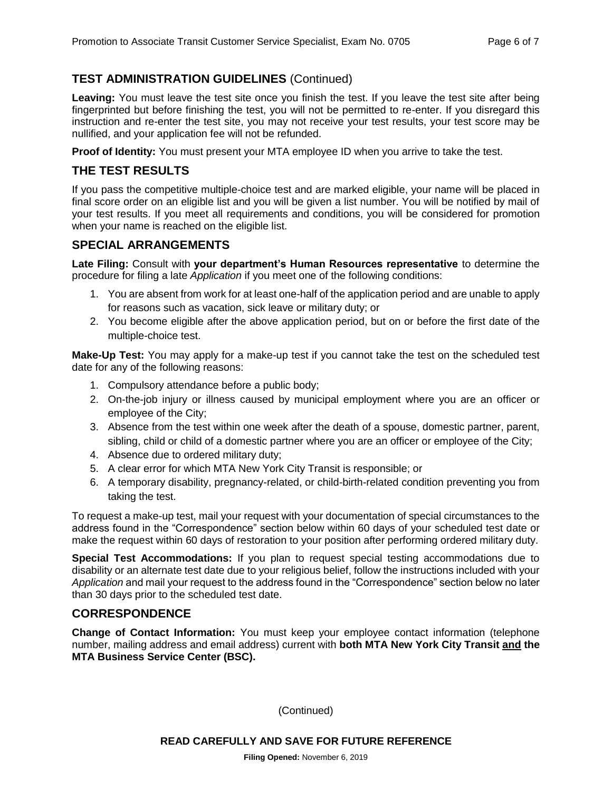# **TEST ADMINISTRATION GUIDELINES** (Continued)

**Leaving:** You must leave the test site once you finish the test. If you leave the test site after being fingerprinted but before finishing the test, you will not be permitted to re-enter. If you disregard this instruction and re-enter the test site, you may not receive your test results, your test score may be nullified, and your application fee will not be refunded.

**Proof of Identity:** You must present your MTA employee ID when you arrive to take the test.

#### **THE TEST RESULTS**

If you pass the competitive multiple-choice test and are marked eligible, your name will be placed in final score order on an eligible list and you will be given a list number. You will be notified by mail of your test results. If you meet all requirements and conditions, you will be considered for promotion when your name is reached on the eligible list.

#### **SPECIAL ARRANGEMENTS**

**Late Filing:** Consult with **your department's Human Resources representative** to determine the procedure for filing a late *Application* if you meet one of the following conditions:

- 1. You are absent from work for at least one-half of the application period and are unable to apply for reasons such as vacation, sick leave or military duty; or
- 2. You become eligible after the above application period, but on or before the first date of the multiple-choice test.

**Make-Up Test:** You may apply for a make-up test if you cannot take the test on the scheduled test date for any of the following reasons:

- 1. Compulsory attendance before a public body;
- 2. On-the-job injury or illness caused by municipal employment where you are an officer or employee of the City;
- 3. Absence from the test within one week after the death of a spouse, domestic partner, parent, sibling, child or child of a domestic partner where you are an officer or employee of the City;
- 4. Absence due to ordered military duty;
- 5. A clear error for which MTA New York City Transit is responsible; or
- 6. A temporary disability, pregnancy-related, or child-birth-related condition preventing you from taking the test.

To request a make-up test, mail your request with your documentation of special circumstances to the address found in the "Correspondence" section below within 60 days of your scheduled test date or make the request within 60 days of restoration to your position after performing ordered military duty.

**Special Test Accommodations:** If you plan to request special testing accommodations due to disability or an alternate test date due to your religious belief, follow the instructions included with your *Application* and mail your request to the address found in the "Correspondence" section below no later than 30 days prior to the scheduled test date.

#### **CORRESPONDENCE**

**Change of Contact Information:** You must keep your employee contact information (telephone number, mailing address and email address) current with **both MTA New York City Transit and the MTA Business Service Center (BSC).**

(Continued)